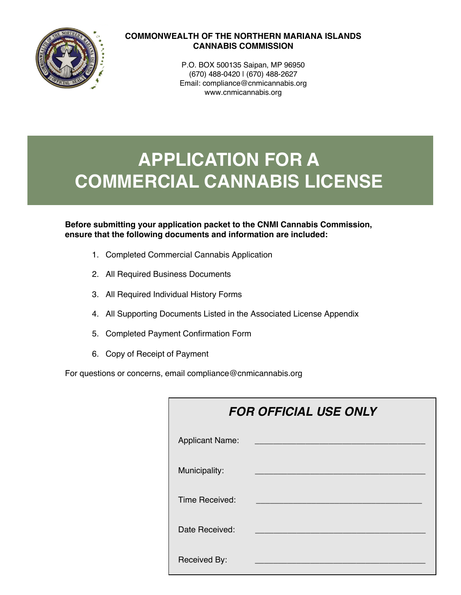

## **COMMONWEALTH OF THE NORTHERN MARIANA ISLANDS CANNABIS COMMISSION**

P.O. BOX 500135 Saipan, MP 96950 (670) 488-0420 | (670) 488-2627 Email: compliance@cnmicannabis.org www.cnmicannabis.org

# **APPLICATION FOR A COMMERCIAL CANNABIS LICENSE**

**Before submitting your application packet to the CNMI Cannabis Commission, ensure that the following documents and information are included:** 

- 1. Completed Commercial Cannabis Application
- 2. All Required Business Documents
- 3. All Required Individual History Forms
- 4. All Supporting Documents Listed in the Associated License Appendix
- 5. Completed Payment Confirmation Form
- 6. Copy of Receipt of Payment

For questions or concerns, email compliance@cnmicannabis.org

| <b>FOR OFFICIAL USE ONLY</b> |  |  |  |  |
|------------------------------|--|--|--|--|
| <b>Applicant Name:</b>       |  |  |  |  |
| Municipality:                |  |  |  |  |
| Time Received:               |  |  |  |  |
| Date Received:               |  |  |  |  |
| Received By:                 |  |  |  |  |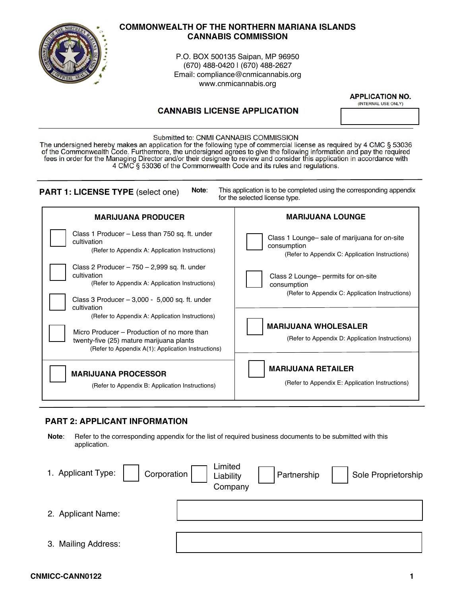

## **COMMONWEALTH OF THE NORTHERN MARIANA ISLANDS CANNABIS COMMISSION**

P.O. BOX 500135 Saipan, MP 96950 (670) 488-0420 | (670) 488-2627 Email: compliance@cnmicannabis.org www.cnmicannabis.org

## **CANNABIS LICENSE APPLICATION**

**APPLICATION NO.** 

(INTERNAL USE ONLY)

#### Submitted to: CNMI CANNABIS COMMISSION

The undersigned hereby makes an application for the following type of commercial license as required by 4 CMC § 53036<br>of the Commonwealth Code. Furthermore, the undersigned agrees to give the following information and pay fees in order for the Managing Director and/or their designee to review and consider this application in accordance with 4 CMC § 53036 of the Commonwealth Code and its rules and regulations.

| Note:                                                                                                                                                                                                           | This application is to be completed using the corresponding appendix                                  |  |  |
|-----------------------------------------------------------------------------------------------------------------------------------------------------------------------------------------------------------------|-------------------------------------------------------------------------------------------------------|--|--|
| <b>PART 1: LICENSE TYPE (select one)</b>                                                                                                                                                                        | for the selected license type.                                                                        |  |  |
| <b>MARIJUANA PRODUCER</b>                                                                                                                                                                                       | <b>MARIJUANA LOUNGE</b>                                                                               |  |  |
| Class 1 Producer - Less than 750 sq. ft. under                                                                                                                                                                  | Class 1 Lounge- sale of marijuana for on-site                                                         |  |  |
| cultivation                                                                                                                                                                                                     | consumption                                                                                           |  |  |
| (Refer to Appendix A: Application Instructions)                                                                                                                                                                 | (Refer to Appendix C: Application Instructions)                                                       |  |  |
| Class 2 Producer $-750 - 2,999$ sq. ft. under<br>cultivation<br>(Refer to Appendix A: Application Instructions)<br>Class 3 Producer $-3,000 - 5,000$ sq. ft. under                                              | Class 2 Lounge- permits for on-site<br>consumption<br>(Refer to Appendix C: Application Instructions) |  |  |
| cultivation<br>(Refer to Appendix A: Application Instructions)<br>Micro Producer – Production of no more than<br>twenty-five (25) mature marijuana plants<br>(Refer to Appendix A(1): Application Instructions) | <b>MARIJUANA WHOLESALER</b><br>(Refer to Appendix D: Application Instructions)                        |  |  |
| <b>MARIJUANA PROCESSOR</b>                                                                                                                                                                                      | <b>MARIJUANA RETAILER</b>                                                                             |  |  |
| (Refer to Appendix B: Application Instructions)                                                                                                                                                                 | (Refer to Appendix E: Application Instructions)                                                       |  |  |

## **PART 2: APPLICANT INFORMATION**

**Note**: Refer to the corresponding appendix for the list of required business documents to be submitted with this application.

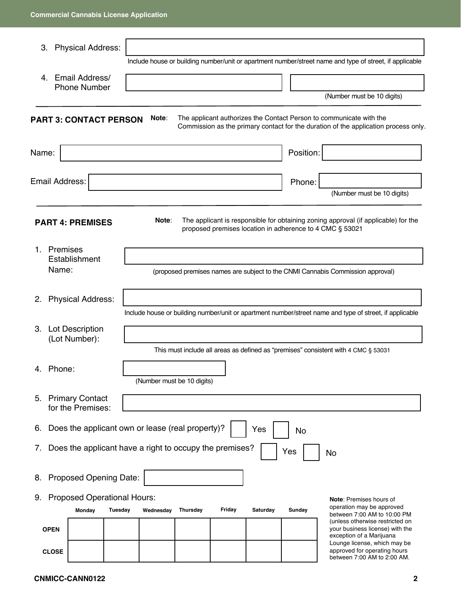| 3.                                                                                                       |                | <b>Physical Address:</b>                                |         |  |           |                            |        |          |     |           |                                                                                                                                                            |
|----------------------------------------------------------------------------------------------------------|----------------|---------------------------------------------------------|---------|--|-----------|----------------------------|--------|----------|-----|-----------|------------------------------------------------------------------------------------------------------------------------------------------------------------|
|                                                                                                          |                |                                                         |         |  |           |                            |        |          |     |           | Include house or building number/unit or apartment number/street name and type of street, if applicable                                                    |
| 4.                                                                                                       |                | Email Address/<br><b>Phone Number</b>                   |         |  |           |                            |        |          |     |           |                                                                                                                                                            |
|                                                                                                          |                |                                                         |         |  |           |                            |        |          |     |           | (Number must be 10 digits)                                                                                                                                 |
|                                                                                                          |                | <b>PART 3: CONTACT PERSON</b>                           |         |  | Note:     |                            |        |          |     |           | The applicant authorizes the Contact Person to communicate with the<br>Commission as the primary contact for the duration of the application process only. |
| Name:                                                                                                    |                |                                                         |         |  |           |                            |        |          |     | Position: |                                                                                                                                                            |
|                                                                                                          | Email Address: |                                                         |         |  |           |                            |        |          |     | Phone:    |                                                                                                                                                            |
|                                                                                                          |                |                                                         |         |  |           |                            |        |          |     |           | (Number must be 10 digits)                                                                                                                                 |
|                                                                                                          |                | <b>PART 4: PREMISES</b>                                 |         |  | Note:     |                            |        |          |     |           | The applicant is responsible for obtaining zoning approval (if applicable) for the<br>proposed premises location in adherence to 4 CMC § 53021             |
|                                                                                                          | 1. Premises    |                                                         |         |  |           |                            |        |          |     |           |                                                                                                                                                            |
| Establishment<br>Name:<br>(proposed premises names are subject to the CNMI Cannabis Commission approval) |                |                                                         |         |  |           |                            |        |          |     |           |                                                                                                                                                            |
| 2.                                                                                                       |                | <b>Physical Address:</b>                                |         |  |           |                            |        |          |     |           |                                                                                                                                                            |
|                                                                                                          |                |                                                         |         |  |           |                            |        |          |     |           | Include house or building number/unit or apartment number/street name and type of street, if applicable                                                    |
|                                                                                                          |                | 3. Lot Description<br>(Lot Number):                     |         |  |           |                            |        |          |     |           |                                                                                                                                                            |
|                                                                                                          |                |                                                         |         |  |           |                            |        |          |     |           | This must include all areas as defined as "premises" consistent with 4 CMC § 53031                                                                         |
|                                                                                                          | 4. Phone:      |                                                         |         |  |           |                            |        |          |     |           |                                                                                                                                                            |
|                                                                                                          |                |                                                         |         |  |           | (Number must be 10 digits) |        |          |     |           |                                                                                                                                                            |
|                                                                                                          |                | 5. Primary Contact<br>for the Premises:                 |         |  |           |                            |        |          |     |           |                                                                                                                                                            |
| 6.                                                                                                       |                | Does the applicant own or lease (real property)?        |         |  |           |                            |        | Yes      |     | No        |                                                                                                                                                            |
| $\mathcal{L}$ .                                                                                          |                | Does the applicant have a right to occupy the premises? |         |  |           |                            |        |          |     |           |                                                                                                                                                            |
|                                                                                                          |                |                                                         |         |  |           |                            |        |          | Yes |           | No                                                                                                                                                         |
|                                                                                                          |                | 8. Proposed Opening Date:                               |         |  |           |                            |        |          |     |           |                                                                                                                                                            |
| 9.                                                                                                       |                | <b>Proposed Operational Hours:</b>                      |         |  |           |                            |        |          |     |           | Note: Premises hours of                                                                                                                                    |
|                                                                                                          |                | Monday                                                  | Tuesday |  | Wednesday | Thursday                   | Friday | Saturday |     | Sunday    | operation may be approved<br>between 7:00 AM to 10:00 PM                                                                                                   |
|                                                                                                          | <b>OPEN</b>    |                                                         |         |  |           |                            |        |          |     |           | (unless otherwise restricted on<br>your business license) with the<br>exception of a Marijuana                                                             |
|                                                                                                          | <b>CLOSE</b>   |                                                         |         |  |           |                            |        |          |     |           | Lounge license, which may be<br>approved for operating hours<br>between 7:00 AM to 2:00 AM.                                                                |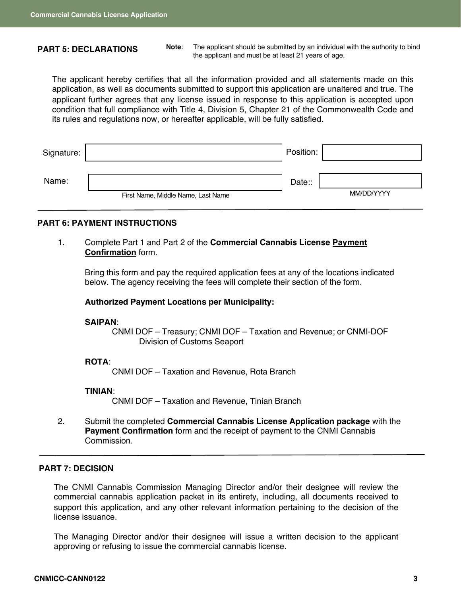#### **PART 5: DECLARATIONS**

**Note**: The applicant should be submitted by an individual with the authority to bind the applicant and must be at least 21 years of age.

The applicant hereby certifies that all the information provided and all statements made on this application, as well as documents submitted to support this application are unaltered and true. The applicant further agrees that any license issued in response to this application is accepted upon condition that full compliance with Title 4, Division 5, Chapter 21 of the Commonwealth Code and its rules and regulations now, or hereafter applicable, will be fully satisfied.

| Signature: |                                    | Position: |            |
|------------|------------------------------------|-----------|------------|
| Name:      | First Name, Middle Name, Last Name | Date::    | MM/DD/YYYY |

## **PART 6: PAYMENT INSTRUCTIONS**

1. Complete Part 1 and Part 2 of the **Commercial Cannabis License Payment Confirmation** form.

Bring this form and pay the required application fees at any of the locations indicated below. The agency receiving the fees will complete their section of the form.

#### **Authorized Payment Locations per Municipality:**

#### **SAIPAN**:

CNMI DOF – Treasury; CNMI DOF – Taxation and Revenue; or CNMI-DOF Division of Customs Seaport

#### **ROTA**:

CNMI DOF – Taxation and Revenue, Rota Branch

#### **TINIAN**:

CNMI DOF – Taxation and Revenue, Tinian Branch

2. Submit the completed **Commercial Cannabis License Application package** with the **Payment Confirmation** form and the receipt of payment to the CNMI Cannabis Commission.

#### **PART 7: DECISION**

The CNMI Cannabis Commission Managing Director and/or their designee will review the commercial cannabis application packet in its entirety, including, all documents received to support this application, and any other relevant information pertaining to the decision of the license issuance.

The Managing Director and/or their designee will issue a written decision to the applicant approving or refusing to issue the commercial cannabis license.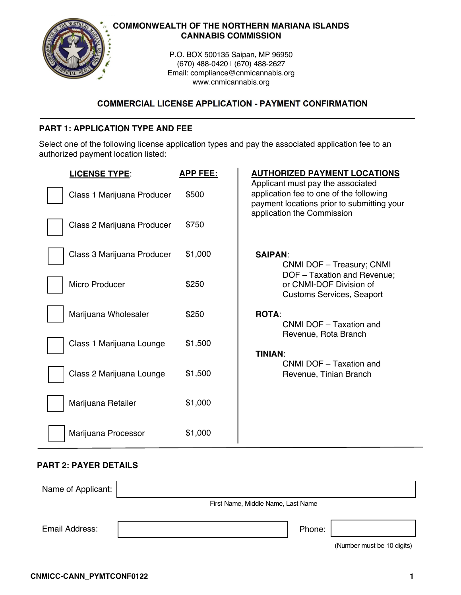

## **COMMONWEALTH OF THE NORTHERN MARIANA ISLANDS CANNABIS COMMISSION**

P.O. BOX 500135 Saipan, MP 96950 (670) 488-0420 | (670) 488-2627 Email: compliance@cnmicannabis.org www.cnmicannabis.org

## **COMMERCIAL LICENSE APPLICATION - PAYMENT CONFIRMATION**

## **PART 1: APPLICATION TYPE AND FEE**

Select one of the following license application types and pay the associated application fee to an authorized payment location listed:

| <b>LICENSE TYPE:</b>       | <b>APP FEE:</b> | <b>AUTHORIZED PAYMENT LOCATIONS</b>                                                                                        |
|----------------------------|-----------------|----------------------------------------------------------------------------------------------------------------------------|
| Class 1 Marijuana Producer | \$500           | Applicant must pay the associated<br>application fee to one of the following<br>payment locations prior to submitting your |
| Class 2 Marijuana Producer | \$750           | application the Commission                                                                                                 |
| Class 3 Marijuana Producer | \$1,000         | <b>SAIPAN:</b><br>CNMI DOF - Treasury; CNMI                                                                                |
| Micro Producer             | \$250           | DOF - Taxation and Revenue;<br>or CNMI-DOF Division of<br><b>Customs Services, Seaport</b>                                 |
| Marijuana Wholesaler       | \$250           | <b>ROTA:</b><br>CNMI DOF - Taxation and                                                                                    |
| Class 1 Marijuana Lounge   | \$1,500         | Revenue, Rota Branch<br><b>TINIAN:</b><br>CNMI DOF - Taxation and                                                          |
| Class 2 Marijuana Lounge   | \$1,500         | Revenue, Tinian Branch                                                                                                     |
| Marijuana Retailer         | \$1,000         |                                                                                                                            |
| Marijuana Processor        | \$1,000         |                                                                                                                            |

## **PART 2: PAYER DETAILS**

| Name of Applicant: |                                    |        |                            |
|--------------------|------------------------------------|--------|----------------------------|
|                    | First Name, Middle Name, Last Name |        |                            |
| Email Address:     |                                    | Phone: |                            |
|                    |                                    |        | (Number must be 10 digits) |